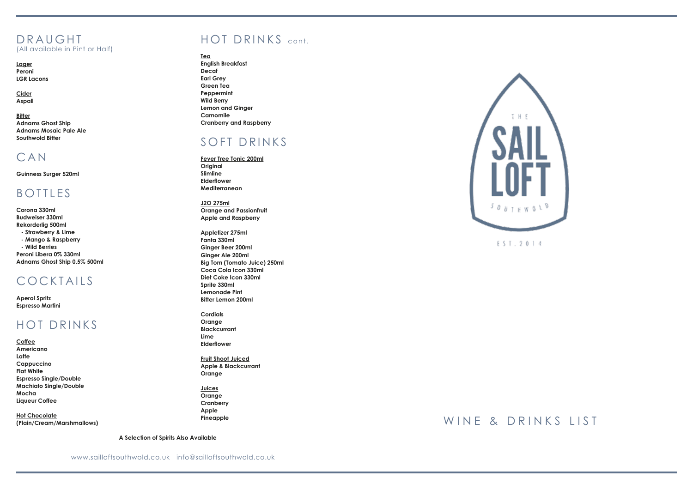# D R A U G H T<br>(All available in Pint or Half)

**Lager Peroni LGR Lacons**

**Cider Aspall**

**Bitter Adnams Ghost Ship Adnams Mosaic Pale Ale Southwold Bitter** 

### CAN

**Guinness Surger 520ml**

### **BOTTLES**

**Corona 330ml Budweiser 330ml Rekorderlig 500ml - Strawberry & Lime - Mango & Raspberry - Wild Berries Peroni Libera 0% 330ml Adnams Ghost Ship 0.5% 500ml**

### COCKTAILS

**Aperol Spritz Espresso Martini**

### HOT DRINKS

**Coffee Americano Latte Cappuccino Flat White Espresso Single/Double Machiato Single/Double Mocha Liqueur Coffee**

**Hot Chocolate (Plain/Cream/Marshmallows)**

## HOT DRINKS cont .

### **Tea**

**English Breakfast Decaf Earl Grey Green Tea Peppermint Wild Berry Lemon and Ginger Camomile Cranberry and Raspberry**

### SOFT DRINKS

**Fever Tree Tonic 200ml Original Slimline Elderflower Mediterranean**

**J2O 275ml Orange and Passionfruit Apple and Raspberry**

**Appletizer 275ml Fanta 330ml Ginger Beer 200ml Ginger Ale 200ml Big Tom (Tomato Juice) 250ml Coca Cola Icon 330ml Diet Coke Icon 330ml Sprite 330ml Lemonade Pint Bitter Lemon 200ml**

**Cordials Orange Blackcurrant Lime Elderflower**

**Fruit Shoot Juiced Apple & Blackcurrant Orange**

**Juices Orange Cranberry Apple Pineapple**

**A Selection of Spirits Also Available**



### WINE & DRINKS LIST